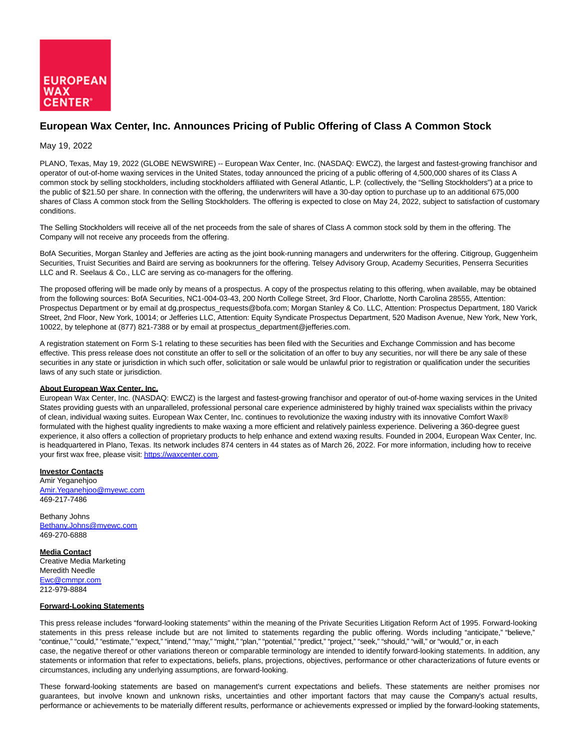

## **European Wax Center, Inc. Announces Pricing of Public Offering of Class A Common Stock**

## May 19, 2022

PLANO, Texas, May 19, 2022 (GLOBE NEWSWIRE) -- European Wax Center, Inc. (NASDAQ: EWCZ), the largest and fastest-growing franchisor and operator of out-of-home waxing services in the United States, today announced the pricing of a public offering of 4,500,000 shares of its Class A common stock by selling stockholders, including stockholders affiliated with General Atlantic, L.P. (collectively, the "Selling Stockholders") at a price to the public of \$21.50 per share. In connection with the offering, the underwriters will have a 30-day option to purchase up to an additional 675,000 shares of Class A common stock from the Selling Stockholders. The offering is expected to close on May 24, 2022, subject to satisfaction of customary conditions.

The Selling Stockholders will receive all of the net proceeds from the sale of shares of Class A common stock sold by them in the offering. The Company will not receive any proceeds from the offering.

BofA Securities, Morgan Stanley and Jefferies are acting as the joint book-running managers and underwriters for the offering. Citigroup, Guggenheim Securities, Truist Securities and Baird are serving as bookrunners for the offering. Telsey Advisory Group, Academy Securities, Penserra Securities LLC and R. Seelaus & Co., LLC are serving as co-managers for the offering.

The proposed offering will be made only by means of a prospectus. A copy of the prospectus relating to this offering, when available, may be obtained from the following sources: BofA Securities, NC1-004-03-43, 200 North College Street, 3rd Floor, Charlotte, North Carolina 28555, Attention: Prospectus Department or by email at dg.prospectus\_requests@bofa.com; Morgan Stanley & Co. LLC, Attention: Prospectus Department, 180 Varick Street, 2nd Floor, New York, 10014; or Jefferies LLC, Attention: Equity Syndicate Prospectus Department, 520 Madison Avenue, New York, New York, 10022, by telephone at (877) 821-7388 or by email at prospectus\_department@jefferies.com.

A registration statement on Form S-1 relating to these securities has been filed with the Securities and Exchange Commission and has become effective. This press release does not constitute an offer to sell or the solicitation of an offer to buy any securities, nor will there be any sale of these securities in any state or jurisdiction in which such offer, solicitation or sale would be unlawful prior to registration or qualification under the securities laws of any such state or jurisdiction.

## **About European Wax Center, Inc.**

European Wax Center, Inc. (NASDAQ: EWCZ) is the largest and fastest-growing franchisor and operator of out-of-home waxing services in the United States providing guests with an unparalleled, professional personal care experience administered by highly trained wax specialists within the privacy of clean, individual waxing suites. European Wax Center, Inc. continues to revolutionize the waxing industry with its innovative Comfort Wax® formulated with the highest quality ingredients to make waxing a more efficient and relatively painless experience. Delivering a 360-degree guest experience, it also offers a collection of proprietary products to help enhance and extend waxing results. Founded in 2004, European Wax Center, Inc. is headquartered in Plano, Texas. Its network includes 874 centers in 44 states as of March 26, 2022. For more information, including how to receive your first wax free, please visit[: https://waxcenter.com.](https://www.globenewswire.com/Tracker?data=GOkkdX3Dl7Rr5Z657HvI04JGJhy_YT_oiJFBrvOtumj_2n9nUpkMYgnQ0lEVryKa3CCJRV0iMMp9Ex1IPpNCHg==)

**Investor Contacts** Amir Yeganehjoo [Amir.Yeganehjoo@myewc.com](https://www.globenewswire.com/Tracker?data=JsXgqrNagIZv_IvBWONPGG4P9N0n6_UsWEqxktmBdwCPyAOEeLu9cLuFHM9TCiLjjVEn2Q27U-T_p6_dHey1LjsStClYr48tjGmuj0Xm1hU=) 469-217-7486

Bethany Johns [Bethany.Johns@myewc.com](https://www.globenewswire.com/Tracker?data=uP6RRwkHbCAaYe9J7mDFJnUnwRIBZBpMSu7H3Vmg0X8NUVOBnIM_vAwoGr_85elhWagYeeJ0i5mexEIcM_BuOM8cSk36r1isJhCIgJbS7M4=) 469-270-6888

**Media Contact** Creative Media Marketing Meredith Needle [Ewc@cmmpr.com](https://www.globenewswire.com/Tracker?data=6vG7mTvHs5tLuQI3Qv3Z_grtAjw49z7rqFK_TRm4zM6tXl-aHsOSwgGCumVDEQEkGSAyPVQbaSSeuX6jpFxUaQ==) 212-979-8884

## **Forward-Looking Statements**

This press release includes "forward-looking statements" within the meaning of the Private Securities Litigation Reform Act of 1995. Forward-looking statements in this press release include but are not limited to statements regarding the public offering. Words including "anticipate," "believe," "continue," "could," "estimate," "expect," "intend," "may," "might," "plan," "potential," "predict," "project," "seek," "should," "will," or "would," or, in each case, the negative thereof or other variations thereon or comparable terminology are intended to identify forward-looking statements. In addition, any statements or information that refer to expectations, beliefs, plans, projections, objectives, performance or other characterizations of future events or circumstances, including any underlying assumptions, are forward-looking.

These forward-looking statements are based on management's current expectations and beliefs. These statements are neither promises nor guarantees, but involve known and unknown risks, uncertainties and other important factors that may cause the Company's actual results, performance or achievements to be materially different results, performance or achievements expressed or implied by the forward-looking statements,